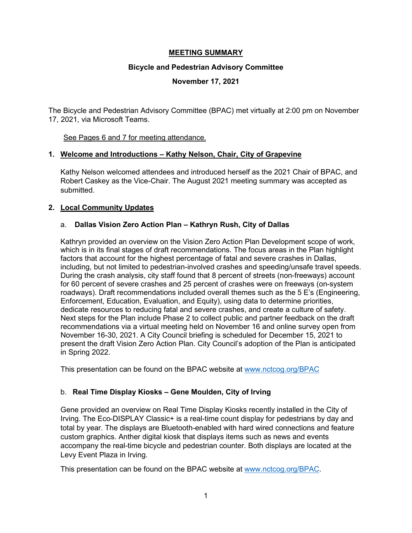## **MEETING SUMMARY**

#### **Bicycle and Pedestrian Advisory Committee**

#### **November 17, 2021**

The Bicycle and Pedestrian Advisory Committee (BPAC) met virtually at 2:00 pm on November 17, 2021, via Microsoft Teams.

See Pages 6 and 7 for meeting attendance.

## **1. Welcome and Introductions – Kathy Nelson, Chair, City of Grapevine**

Kathy Nelson welcomed attendees and introduced herself as the 2021 Chair of BPAC, and Robert Caskey as the Vice-Chair. The August 2021 meeting summary was accepted as submitted.

## **2. Local Community Updates**

## a. **Dallas Vision Zero Action Plan – Kathryn Rush, City of Dallas**

Kathryn provided an overview on the Vision Zero Action Plan Development scope of work, which is in its final stages of draft recommendations. The focus areas in the Plan highlight factors that account for the highest percentage of fatal and severe crashes in Dallas, including, but not limited to pedestrian-involved crashes and speeding/unsafe travel speeds. During the crash analysis, city staff found that 8 percent of streets (non-freeways) account for 60 percent of severe crashes and 25 percent of crashes were on freeways (on-system roadways). Draft recommendations included overall themes such as the 5 E's (Engineering, Enforcement, Education, Evaluation, and Equity), using data to determine priorities, dedicate resources to reducing fatal and severe crashes, and create a culture of safety. Next steps for the Plan include Phase 2 to collect public and partner feedback on the draft recommendations via a virtual meeting held on November 16 and online survey open from November 16-30, 2021. A City Council briefing is scheduled for December 15, 2021 to present the draft Vision Zero Action Plan. City Council's adoption of the Plan is anticipated in Spring 2022.

This presentation can be found on the BPAC website at [www.nctcog.org/BPAC](http://www.nctcog.org/BPAC)

## b. **Real Time Display Kiosks – Gene Moulden, City of Irving**

Gene provided an overview on Real Time Display Kiosks recently installed in the City of Irving. The Eco-DISPLAY Classic+ is a real-time count display for pedestrians by day and total by year. The displays are Bluetooth-enabled with hard wired connections and feature custom graphics. Anther digital kiosk that displays items such as news and events accompany the real-time bicycle and pedestrian counter. Both displays are located at the Levy Event Plaza in Irving.

This presentation can be found on the BPAC website at [www.nctcog.org/BPAC.](http://www.nctcog.org/BPAC)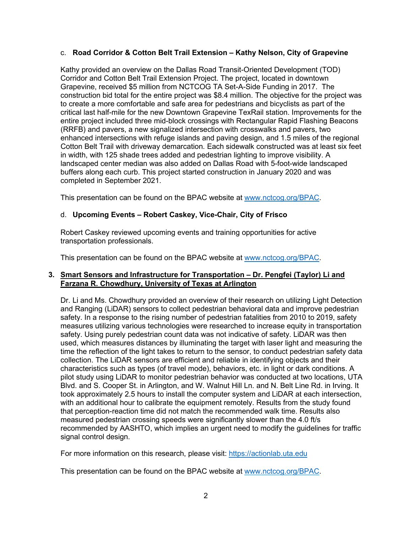#### c. **Road Corridor & Cotton Belt Trail Extension – Kathy Nelson, City of Grapevine**

Kathy provided an overview on the Dallas Road Transit-Oriented Development (TOD) Corridor and Cotton Belt Trail Extension Project. The project, located in downtown Grapevine, received \$5 million from NCTCOG TA Set-A-Side Funding in 2017. The construction bid total for the entire project was \$8.4 million. The objective for the project was to create a more comfortable and safe area for pedestrians and bicyclists as part of the critical last half-mile for the new Downtown Grapevine TexRail station. Improvements for the entire project included three mid-block crossings with Rectangular Rapid Flashing Beacons (RRFB) and pavers, a new signalized intersection with crosswalks and pavers, two enhanced intersections with refuge islands and paving design, and 1.5 miles of the regional Cotton Belt Trail with driveway demarcation. Each sidewalk constructed was at least six feet in width, with 125 shade trees added and pedestrian lighting to improve visibility. A landscaped center median was also added on Dallas Road with 5-foot-wide landscaped buffers along each curb. This project started construction in January 2020 and was completed in September 2021.

This presentation can be found on the BPAC website at [www.nctcog.org/BPAC.](http://www.nctcog.org/BPAC)

#### d. **Upcoming Events – Robert Caskey, Vice-Chair, City of Frisco**

Robert Caskey reviewed upcoming events and training opportunities for active transportation professionals.

This presentation can be found on the BPAC website at [www.nctcog.org/BPAC.](http://www.nctcog.org/BPAC)

#### **3. Smart Sensors and Infrastructure for Transportation – Dr. Pengfei (Taylor) Li and Farzana R. Chowdhury, University of Texas at Arlington**

Dr. Li and Ms. Chowdhury provided an overview of their research on utilizing Light Detection and Ranging (LiDAR) sensors to collect pedestrian behavioral data and improve pedestrian safety. In a response to the rising number of pedestrian fatalities from 2010 to 2019, safety measures utilizing various technologies were researched to increase equity in transportation safety. Using purely pedestrian count data was not indicative of safety. LiDAR was then used, which measures distances by illuminating the target with laser light and measuring the time the reflection of the light takes to return to the sensor, to conduct pedestrian safety data collection. The LiDAR sensors are efficient and reliable in identifying objects and their characteristics such as types (of travel mode), behaviors, etc. in light or dark conditions. A pilot study using LiDAR to monitor pedestrian behavior was conducted at two locations, UTA Blvd. and S. Cooper St. in Arlington, and W. Walnut Hill Ln. and N. Belt Line Rd. in Irving. It took approximately 2.5 hours to install the computer system and LiDAR at each intersection, with an additional hour to calibrate the equipment remotely. Results from the study found that perception-reaction time did not match the recommended walk time. Results also measured pedestrian crossing speeds were significantly slower than the 4.0 ft/s recommended by AASHTO, which implies an urgent need to modify the guidelines for traffic signal control design.

For more information on this research, please visit: [https://actionlab.uta.edu](https://actionlab.uta.edu/)

This presentation can be found on the BPAC website at [www.nctcog.org/BPAC.](http://www.nctcog.org/BPAC)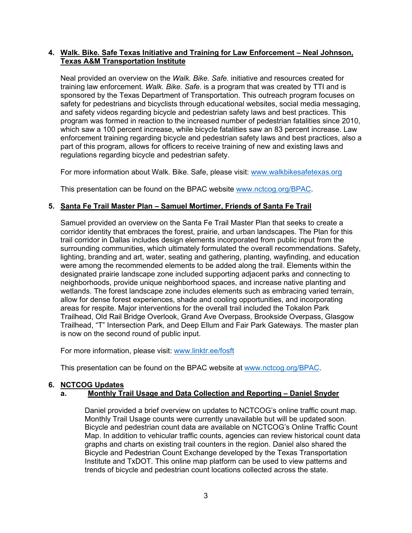#### **4. Walk. Bike. Safe Texas Initiative and Training for Law Enforcement – Neal Johnson, Texas A&M Transportation Institute**

Neal provided an overview on the *Walk. Bike. Safe.* initiative and resources created for training law enforcement. *Walk. Bike. Safe.* is a program that was created by TTI and is sponsored by the Texas Department of Transportation. This outreach program focuses on safety for pedestrians and bicyclists through educational websites, social media messaging, and safety videos regarding bicycle and pedestrian safety laws and best practices. This program was formed in reaction to the increased number of pedestrian fatalities since 2010, which saw a 100 percent increase, while bicycle fatalities saw an 83 percent increase. Law enforcement training regarding bicycle and pedestrian safety laws and best practices, also a part of this program, allows for officers to receive training of new and existing laws and regulations regarding bicycle and pedestrian safety.

For more information about Walk. Bike. Safe, please visit: [www.walkbikesafetexas.org](http://www.walkbikesafetexas.org/)

This presentation can be found on the BPAC website [www.nctcog.org/BPAC.](http://www.nctcog.org/BPAC)

## **5. Santa Fe Trail Master Plan – Samuel Mortimer, Friends of Santa Fe Trail**

Samuel provided an overview on the Santa Fe Trail Master Plan that seeks to create a corridor identity that embraces the forest, prairie, and urban landscapes. The Plan for this trail corridor in Dallas includes design elements incorporated from public input from the surrounding communities, which ultimately formulated the overall recommendations. Safety, lighting, branding and art, water, seating and gathering, planting, wayfinding, and education were among the recommended elements to be added along the trail. Elements within the designated prairie landscape zone included supporting adjacent parks and connecting to neighborhoods, provide unique neighborhood spaces, and increase native planting and wetlands. The forest landscape zone includes elements such as embracing varied terrain, allow for dense forest experiences, shade and cooling opportunities, and incorporating areas for respite. Major interventions for the overall trail included the Tokalon Park Trailhead, Old Rail Bridge Overlook, Grand Ave Overpass, Brookside Overpass, Glasgow Trailhead, "T" Intersection Park, and Deep Ellum and Fair Park Gateways. The master plan is now on the second round of public input.

For more information, please visit: [www.linktr.ee/fosft](http://www.linktr.ee/fosft)

This presentation can be found on the BPAC website at [www.nctcog.org/BPAC.](http://www.nctcog.org/BPAC)

#### **6. NCTCOG Updates**

#### **a. Monthly Trail Usage and Data Collection and Reporting – Daniel Snyder**

Daniel provided a brief overview on updates to NCTCOG's online traffic count map. Monthly Trail Usage counts were currently unavailable but will be updated soon. Bicycle and pedestrian count data are available on NCTCOG's Online Traffic Count Map. In addition to vehicular traffic counts, agencies can review historical count data graphs and charts on existing trail counters in the region. Daniel also shared the Bicycle and Pedestrian Count Exchange developed by the Texas Transportation Institute and TxDOT. This online map platform can be used to view patterns and trends of bicycle and pedestrian count locations collected across the state.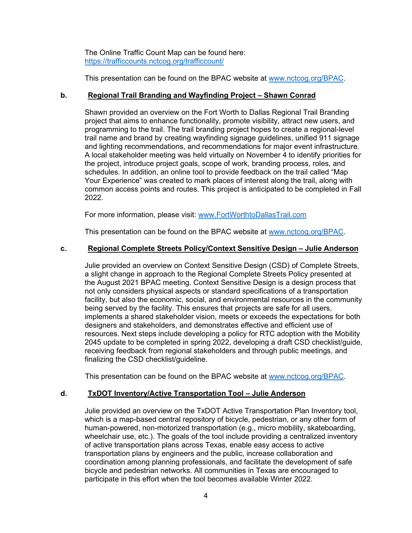The Online Traffic Count Map can be found here: <https://trafficcounts.nctcog.org/trafficcount/>

This presentation can be found on the BPAC website at [www.nctcog.org/BPAC.](http://www.nctcog.org/BPAC)

## **b. Regional Trail Branding and Wayfinding Project – Shawn Conrad**

Shawn provided an overview on the Fort Worth to Dallas Regional Trail Branding project that aims to enhance functionality, promote visibility, attract new users, and programming to the trail. The trail branding project hopes to create a regional-level trail name and brand by creating wayfinding signage guidelines, unified 911 signage and lighting recommendations, and recommendations for major event infrastructure. A local stakeholder meeting was held virtually on November 4 to identify priorities for the project, introduce project goals, scope of work, branding process, roles, and schedules. In addition, an online tool to provide feedback on the trail called "Map Your Experience" was created to mark places of interest along the trail, along with common access points and routes. This project is anticipated to be completed in Fall 2022.

For more information, please visit: [www.FortWorthtoDallasTrail.com](http://www.fortworthtodallastrail.com/)

This presentation can be found on the BPAC website at [www.nctcog.org/BPAC.](http://www.nctcog.org/BPAC)

## **c. Regional Complete Streets Policy/Context Sensitive Design – Julie Anderson**

Julie provided an overview on Context Sensitive Design (CSD) of Complete Streets, a slight change in approach to the Regional Complete Streets Policy presented at the August 2021 BPAC meeting. Context Sensitive Design is a design process that not only considers physical aspects or standard specifications of a transportation facility, but also the economic, social, and environmental resources in the community being served by the facility. This ensures that projects are safe for all users, implements a shared stakeholder vision, meets or exceeds the expectations for both designers and stakeholders, and demonstrates effective and efficient use of resources. Next steps include developing a policy for RTC adoption with the Mobility 2045 update to be completed in spring 2022, developing a draft CSD checklist/guide, receiving feedback from regional stakeholders and through public meetings, and finalizing the CSD checklist/guideline.

This presentation can be found on the BPAC website at [www.nctcog.org/BPAC.](http://www.nctcog.org/BPAC)

#### **d. TxDOT Inventory/Active Transportation Tool – Julie Anderson**

Julie provided an overview on the TxDOT Active Transportation Plan Inventory tool, which is a map-based central repository of bicycle, pedestrian, or any other form of human-powered, non-motorized transportation (e.g., micro mobility, skateboarding, wheelchair use, etc.). The goals of the tool include providing a centralized inventory of active transportation plans across Texas, enable easy access to active transportation plans by engineers and the public, increase collaboration and coordination among planning professionals, and facilitate the development of safe bicycle and pedestrian networks. All communities in Texas are encouraged to participate in this effort when the tool becomes available Winter 2022.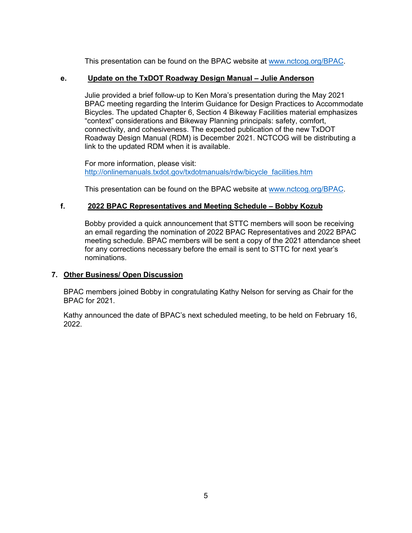This presentation can be found on the BPAC website at [www.nctcog.org/BPAC.](http://www.nctcog.org/BPAC)

## **e. Update on the TxDOT Roadway Design Manual – Julie Anderson**

Julie provided a brief follow-up to Ken Mora's presentation during the May 2021 BPAC meeting regarding the Interim Guidance for Design Practices to Accommodate Bicycles. The updated Chapter 6, Section 4 Bikeway Facilities material emphasizes "context" considerations and Bikeway Planning principals: safety, comfort, connectivity, and cohesiveness. The expected publication of the new TxDOT Roadway Design Manual (RDM) is December 2021. NCTCOG will be distributing a link to the updated RDM when it is available.

For more information, please visit: [http://onlinemanuals.txdot.gov/txdotmanuals/rdw/bicycle\\_facilities.htm](http://onlinemanuals.txdot.gov/txdotmanuals/rdw/bicycle_facilities.htm)

This presentation can be found on the BPAC website at [www.nctcog.org/BPAC.](http://www.nctcog.org/BPAC)

## **f. 2022 BPAC Representatives and Meeting Schedule – Bobby Kozub**

Bobby provided a quick announcement that STTC members will soon be receiving an email regarding the nomination of 2022 BPAC Representatives and 2022 BPAC meeting schedule. BPAC members will be sent a copy of the 2021 attendance sheet for any corrections necessary before the email is sent to STTC for next year's nominations.

#### **7. Other Business/ Open Discussion**

BPAC members joined Bobby in congratulating Kathy Nelson for serving as Chair for the BPAC for 2021.

Kathy announced the date of BPAC's next scheduled meeting, to be held on February 16, 2022.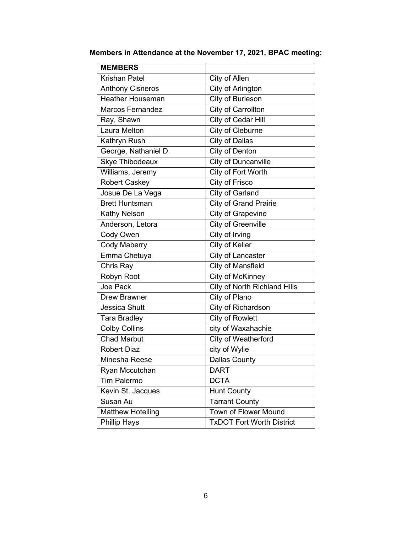| <b>MEMBERS</b>           |                                     |
|--------------------------|-------------------------------------|
| Krishan Patel            | City of Allen                       |
| <b>Anthony Cisneros</b>  | City of Arlington                   |
| Heather Houseman         | City of Burleson                    |
| <b>Marcos Fernandez</b>  | City of Carrollton                  |
| Ray, Shawn               | City of Cedar Hill                  |
| Laura Melton             | City of Cleburne                    |
| Kathryn Rush             | City of Dallas                      |
| George, Nathaniel D.     | City of Denton                      |
| <b>Skye Thibodeaux</b>   | <b>City of Duncanville</b>          |
| Williams, Jeremy         | City of Fort Worth                  |
| <b>Robert Caskey</b>     | City of Frisco                      |
| Josue De La Vega         | <b>City of Garland</b>              |
| <b>Brett Huntsman</b>    | <b>City of Grand Prairie</b>        |
| <b>Kathy Nelson</b>      | <b>City of Grapevine</b>            |
| Anderson, Letora         | <b>City of Greenville</b>           |
| Cody Owen                | City of Irving                      |
| <b>Cody Maberry</b>      | City of Keller                      |
| Emma Chetuya             | City of Lancaster                   |
| Chris Ray                | <b>City of Mansfield</b>            |
| Robyn Root               | City of McKinney                    |
| Joe Pack                 | <b>City of North Richland Hills</b> |
| <b>Drew Brawner</b>      | City of Plano                       |
| <b>Jessica Shutt</b>     | City of Richardson                  |
| <b>Tara Bradley</b>      | <b>City of Rowlett</b>              |
| <b>Colby Collins</b>     | city of Waxahachie                  |
| <b>Chad Marbut</b>       | City of Weatherford                 |
| <b>Robert Diaz</b>       | city of Wylie                       |
| Minesha Reese            | <b>Dallas County</b>                |
| Ryan Mccutchan           | <b>DART</b>                         |
| <b>Tim Palermo</b>       | <b>DCTA</b>                         |
| Kevin St. Jacques        | <b>Hunt County</b>                  |
| Susan Au                 | <b>Tarrant County</b>               |
| <b>Matthew Hotelling</b> | Town of Flower Mound                |
| Phillip Hays             | <b>TxDOT Fort Worth District</b>    |

## **Members in Attendance at the November 17, 2021, BPAC meeting:**